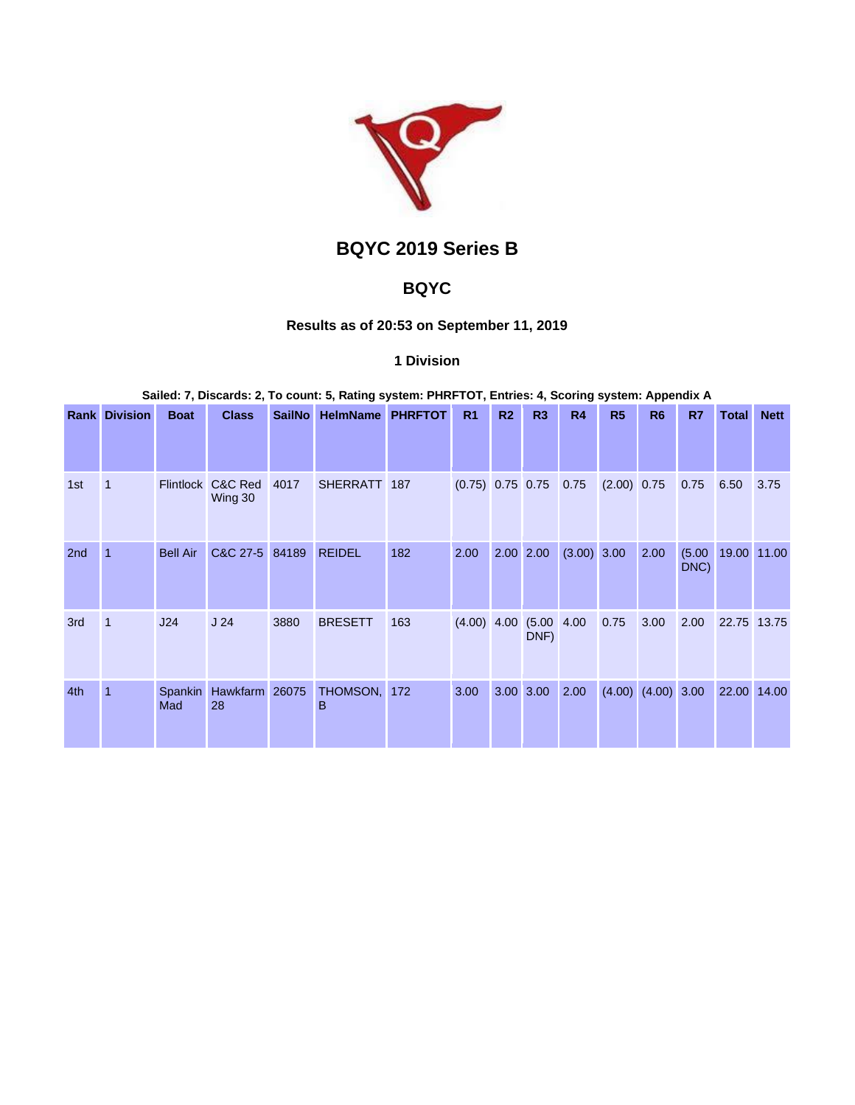

# **BQYC 2019 Series B**

# **BQYC**

# **Results as of 20:53 on September 11, 2019**

## **1 Division**

**Sailed: 7, Discards: 2, To count: 5, Rating system: PHRFTOT, Entries: 4, Scoring system: Appendix A**

|                 | <b>Rank Division</b> | <b>Boat</b>     | <b>Class</b>                 | <b>SailNo</b> | <b>HelmName</b>   | <b>PHRFTOT</b> | R1                      | R2 | R3                     | <b>R4</b>     | R <sub>5</sub> | R <sub>6</sub> | R7             | <b>Total</b> | <b>Nett</b> |
|-----------------|----------------------|-----------------|------------------------------|---------------|-------------------|----------------|-------------------------|----|------------------------|---------------|----------------|----------------|----------------|--------------|-------------|
| 1st             | $\mathbf 1$          |                 | Flintlock C&C Red<br>Wing 30 | 4017          | SHERRATT 187      |                | $(0.75)$ 0.75 0.75 0.75 |    |                        |               | $(2.00)$ 0.75  |                | 0.75           | 6.50         | 3.75        |
| 2 <sub>nd</sub> |                      | <b>Bell Air</b> | C&C 27-5 84189               |               | <b>REIDEL</b>     | 182            | 2.00                    |    | 2.00 2.00              | $(3.00)$ 3.00 |                | 2.00           | (5.00)<br>DNC) | 19.00 11.00  |             |
| 3rd             | $\mathbf{1}$         | J24             | J <sub>24</sub>              | 3880          | <b>BRESETT</b>    | 163            | $(4.00)$ 4.00           |    | $(5.00 \ 4.00$<br>DNF) |               | 0.75           | 3.00           | 2.00           | 22.75 13.75  |             |
| 4th             |                      | Spankin<br>Mad  | Hawkfarm 26075<br>28         |               | THOMSON, 172<br>B |                | 3.00                    |    | 3.00 3.00              | 2.00          | (4.00)         | $(4.00)$ 3.00  |                | 22.00        | 14.00       |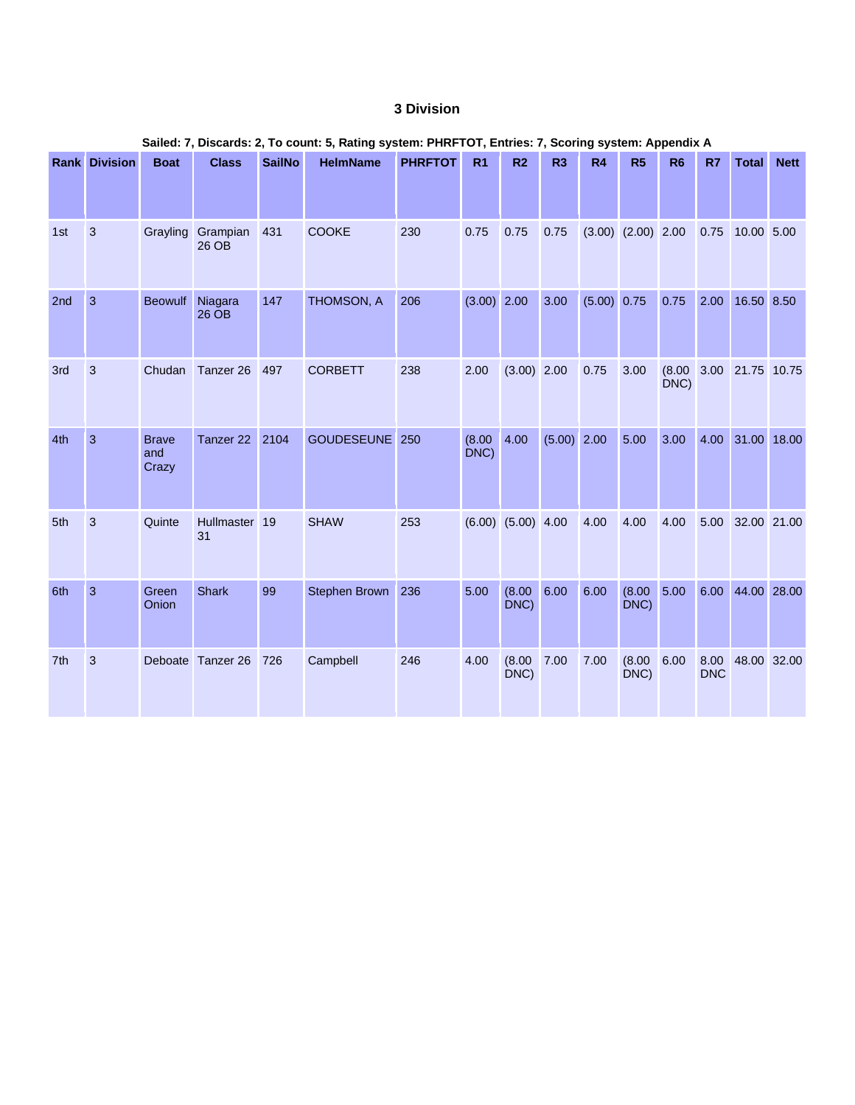## **3 Division**

| Salied: 7, Discards: 2, To count: 5, Rating system: PHRFTOT, Entries: 7, Scoring system: Appendix A |                      |                              |                     |               |                 |                |                |                        |               |             |                        |                |                    |                  |             |
|-----------------------------------------------------------------------------------------------------|----------------------|------------------------------|---------------------|---------------|-----------------|----------------|----------------|------------------------|---------------|-------------|------------------------|----------------|--------------------|------------------|-------------|
|                                                                                                     | <b>Rank Division</b> | <b>Boat</b>                  | <b>Class</b>        | <b>SailNo</b> | <b>HelmName</b> | <b>PHRFTOT</b> | R <sub>1</sub> | R <sub>2</sub>         | R3            | R4          | R5                     | R <sub>6</sub> | R7                 | <b>Total</b>     | <b>Nett</b> |
| 1st                                                                                                 | 3                    | Grayling                     | Grampian<br>26 OB   | 431           | <b>COOKE</b>    | 230            | 0.75           | 0.75                   | 0.75          |             | $(3.00)$ $(2.00)$ 2.00 |                | 0.75               | 10.00 5.00       |             |
| 2nd                                                                                                 | $\overline{3}$       | <b>Beowulf</b>               | Niagara<br>26 OB    | 147           | THOMSON, A      | 206            | $(3.00)$ 2.00  |                        | 3.00          | (5.00) 0.75 |                        | 0.75           | 2.00               | 16.50 8.50       |             |
| 3rd                                                                                                 | 3                    | Chudan                       | Tanzer 26           | 497           | <b>CORBETT</b>  | 238            | 2.00           | $(3.00)$ 2.00          |               | 0.75        | 3.00                   | (8.00)<br>DNC) |                    | 3.00 21.75 10.75 |             |
| 4th                                                                                                 | $\overline{3}$       | <b>Brave</b><br>and<br>Crazy | Tanzer 22           | 2104          | GOUDESEUNE 250  |                | (8.00)<br>DNC) | 4.00                   | $(5.00)$ 2.00 |             | 5.00                   | 3.00           |                    | 4.00 31.00 18.00 |             |
| 5th                                                                                                 | 3                    | Quinte                       | Hullmaster 19<br>31 |               | <b>SHAW</b>     | 253            |                | $(6.00)$ $(5.00)$ 4.00 |               | 4.00        | 4.00                   | 4.00           | 5.00               | 32.00 21.00      |             |
| 6th                                                                                                 | $\overline{3}$       | Green<br>Onion               | <b>Shark</b>        | 99            | Stephen Brown   | 236            | 5.00           | $(8.00 \ 6.00$<br>DNC) |               | 6.00        | (8.00)<br>DNC)         | 5.00           | 6.00               | 44.00 28.00      |             |
| 7th                                                                                                 | 3                    |                              | Deboate Tanzer 26   | 726           | Campbell        | 246            | 4.00           | (8.00)<br>DNC)         | 7.00          | 7.00        | (8.00)<br>DNC)         | 6.00           | 8.00<br><b>DNC</b> | 48.00 32.00      |             |

# **Sailed: 7, Discards: 2, To count: 5, Rating system: PHRFTOT, Entries: 7, Scoring system: Appendix A**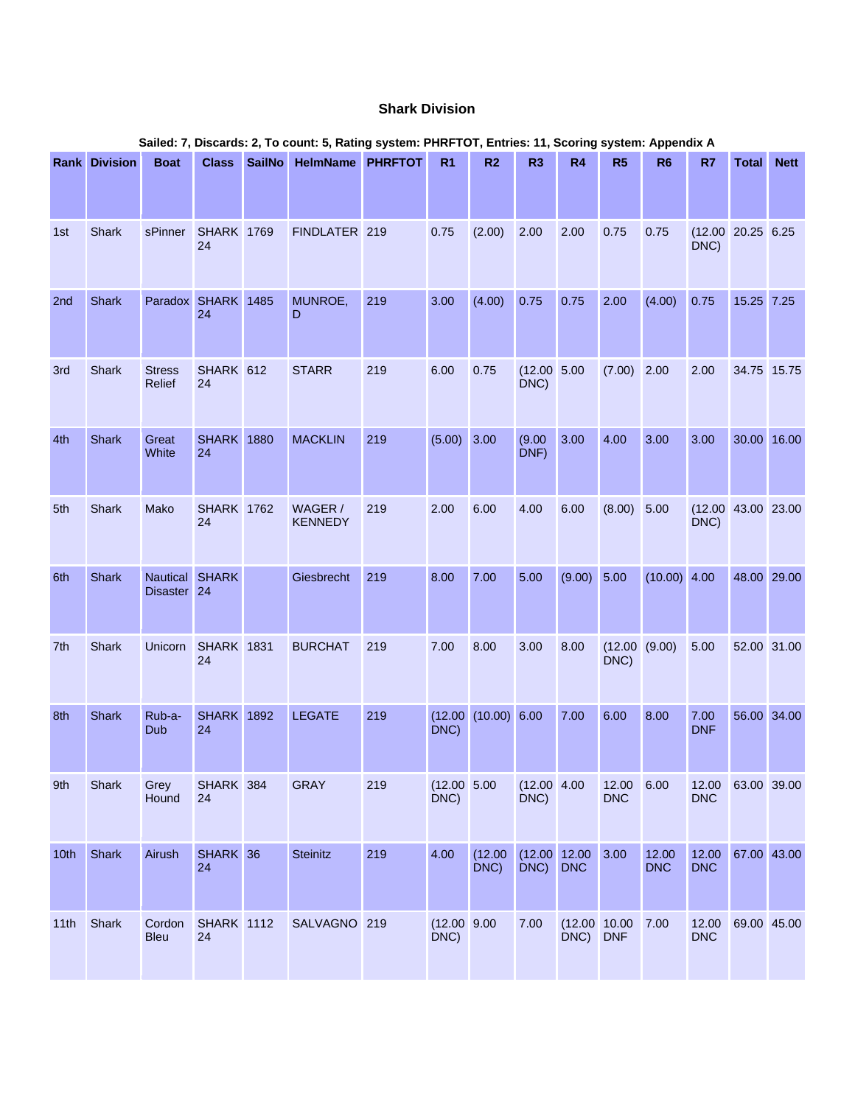#### **Shark Division**

|      | Sailed: 7, Discards: 2, To count: 5, Rating system: PHRFTOT, Entries: 11, Scoring system: Appendix A |                         |                          |               |                           |     |                      |                      |                      |                          |                       |                     |                     |                    |             |
|------|------------------------------------------------------------------------------------------------------|-------------------------|--------------------------|---------------|---------------------------|-----|----------------------|----------------------|----------------------|--------------------------|-----------------------|---------------------|---------------------|--------------------|-------------|
|      | <b>Rank Division</b>                                                                                 | <b>Boat</b>             | <b>Class</b>             | <b>SailNo</b> | <b>HelmName PHRFTOT</b>   |     | R <sub>1</sub>       | R <sub>2</sub>       | R <sub>3</sub>       | R4                       | R <sub>5</sub>        | R <sub>6</sub>      | R7                  | <b>Total</b>       | <b>Nett</b> |
| 1st  | Shark                                                                                                | sPinner                 | <b>SHARK 1769</b><br>24  |               | FINDLATER 219             |     | 0.75                 | (2.00)               | 2.00                 | 2.00                     | 0.75                  | 0.75                | DNC)                | (12.00 20.25 6.25) |             |
| 2nd  | Shark                                                                                                |                         | Paradox SHARK 1485<br>24 |               | MUNROE,<br>D              | 219 | 3.00                 | (4.00)               | 0.75                 | 0.75                     | 2.00                  | (4.00)              | 0.75                | 15.25 7.25         |             |
| 3rd  | <b>Shark</b>                                                                                         | <b>Stress</b><br>Relief | SHARK 612<br>24          |               | <b>STARR</b>              | 219 | 6.00                 | 0.75                 | (12.00 5.00<br>DNC)  |                          | (7.00)                | 2.00                | 2.00                | 34.75 15.75        |             |
| 4th  | <b>Shark</b>                                                                                         | Great<br>White          | <b>SHARK</b> 1880<br>24  |               | <b>MACKLIN</b>            | 219 | (5.00)               | 3.00                 | (9.00)<br>DNF)       | 3.00                     | 4.00                  | 3.00                | 3.00                |                    | 30.00 16.00 |
| 5th  | Shark                                                                                                | Mako                    | <b>SHARK 1762</b><br>24  |               | WAGER /<br><b>KENNEDY</b> | 219 | 2.00                 | 6.00                 | 4.00                 | 6.00                     | (8.00)                | 5.00                | DNC)                | (12.00 43.00 23.00 |             |
| 6th  | Shark                                                                                                | Disaster 24             | Nautical SHARK           |               | Giesbrecht                | 219 | 8.00                 | 7.00                 | 5.00                 | $(9.00)$ 5.00            |                       | $(10.00)$ 4.00      |                     | 48.00 29.00        |             |
| 7th  | Shark                                                                                                | Unicorn                 | <b>SHARK 1831</b><br>24  |               | <b>BURCHAT</b>            | 219 | 7.00                 | 8.00                 | 3.00                 | 8.00                     | (12.00 (9.00)<br>DNC) |                     | 5.00                | 52.00 31.00        |             |
| 8th  | <b>Shark</b>                                                                                         | Rub-a-<br>Dub           | <b>SHARK</b> 1892<br>24  |               | <b>LEGATE</b>             | 219 | DNC)                 | (12.00 (10.00) 6.00) |                      | 7.00                     | 6.00                  | 8.00                | 7.00<br><b>DNF</b>  | 56.00 34.00        |             |
| 9th  | Shark                                                                                                | Grey<br>Hound           | SHARK 384<br>24          |               | <b>GRAY</b>               | 219 | (12.00 5.00<br>DNC)  |                      | (12.00 4.00)<br>DNC) |                          | 12.00<br><b>DNC</b>   | 6.00                | 12.00<br><b>DNC</b> | 63.00 39.00        |             |
| 10th | <b>Shark</b>                                                                                         | Airush                  | SHARK 36<br>24           |               | Steinitz                  | 219 | 4.00                 | (12.00)<br>DNC)      | (12.00 12.00<br>DNC) | <b>DNC</b>               | 3.00                  | 12.00<br><b>DNC</b> | 12.00<br><b>DNC</b> | 67.00 43.00        |             |
| 11th | Shark                                                                                                | Cordon<br><b>Bleu</b>   | <b>SHARK 1112</b><br>24  |               | SALVAGNO 219              |     | (12.00 9.00)<br>DNC) |                      | 7.00                 | (12.00 10.00<br>DNC) DNF |                       | 7.00                | 12.00<br><b>DNC</b> | 69.00 45.00        |             |

#### **Sailed: 7, Discards: 2, To count: 5, Rating system: PHRFTOT, Entries: 11, Scoring system: Appendix A**